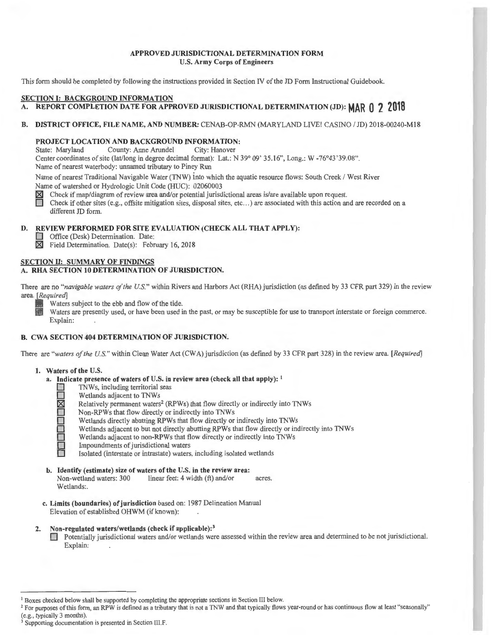## **APPROVED JlJRISDICTIONAL DETERMINATION FORM U.S. Army Corps of Engineers**

This form should be completed by following the instructions provided in Section IV of the JD Form Instructional Guidebook.

### **SECTION I: BACKGROUND INFORMATION**

# **A. REPORT COMPLETION DATE FOR APPROVED JlJRISDICTIONAL DETERMINATION (JD): MAR 0 2 2018**

#### **B. DISTRICT OFFICE, FILE NAME, AND NUMBER:** CENAB-OP-RMN (MARYLAND LIVE! CASINO / JD) 2018-00240-M18

# **PROJECT LOCATION AND BACKGROUND INFORMATION:**<br>State: Maryland County: Anne Arundel City: Hanover

County: Anne Arundel Center coordinates of site (lat/long in degree decimal format): Lat.: N 39° 09' 35.16", Long.: W -76°43'39.08". Name of nearest waterbody: unnamed tributary to Piney Run

Name of nearest Traditional Navigable Water (TNW) into which the aquatic resource flows: South Creek / West River Name of watershed or Hydrologic Unit Code (HUC): 02060003

 $\boxtimes$  Check if map/diagram of review area and/or potential jurisdictional areas is/are available upon request.

Check if other sites (e.g., offsite mitigation sites, disposal sites, etc...) are associated with this action and are recorded on a different JD form.

## **D. REVIEW PERFORMED FOR SITE EVALUATION (CHECK ALL THAT APPLY):**

**D** Office (Desk) Determination. Date:

**table 3:1 Field Determination.** Date(s): February 16, 2018

#### **SECTION II: SUMMARY OF FINDINGS A. RHA SECTION IO DETERMINATION OF JURISDICTION.**

There are no "*navigable waters of the U.S.*" within Rivers and Harbors Act (RHA) jurisdiction (as defined by 33 CFR part 329) in the review area. *[Required]* 

Waters subject to the ebb and flow of the tide.

Waters are presently used, or have been used in the past, or may be susceptible for use to transport interstate or foreign commerce. Explain:

## **B. CWA SECTION 404 DETERMINATION OF JURISDICTION.**

There are *"waters of the U.S. "* within Clean Water Act (CWA) jurisdiction (as defined by 33 CFR part 328) in the review area. *[Required]* 

- **1. Waters of the U.S.** 
	- **a. Indicate presence of waters of U.S. in review area (check all that apply):** <sup>1</sup>
		- **D** TNWs, including territorial seas<br>
		Wetlands adjacent to TNWs
			-
			- Relatively permanent waters<sup>2</sup> (RPWs) that flow directly or indirectly into TNWs
		- **D D** Wetlands adjacent to TNWs<br> **D** Relatively permanent waters<br>
		Non-RPWs that flow directly **D**  Non-RPWs that flow directly or indirectly into TNWs Wetlands directly abutting RPWs that flow directly or
			-
		- **D IDENT Wetlands directly abutting RPWs that flow directly or indirectly into TNWs<br>Wetlands adjacent to but not directly abutting RPWs that flow directly or indirectly or indirectly into TNWs<br>Impoundments of jurisdictiona** Wetlands adjacent to but not directly abutting RPWs that flow directly or indirectly into TNWs
			- Wetlands adjacent to non-RPWs that flow directly or indirectly into TNWs
			- **Impoundments of jurisdictional waters**
			- Isolated (interstate or intrastate) waters, including isolated wetlands
	- **b. Identify (estimate) size of waters of the U.S. in the review area:**<br>Non-wetland waters: 300 linear feet: 4 width (ft) and/or  $linear feet: 4 width (ft) and/or *acres.*$ Wetlands:.
	- **c. Limits (boundaries) of jurisdiction** based on: 1987 Delineation Manual Elevation of established OHWM (if known):

## **2. Non-regulated waters/wetlands (check if applicable): 3**

**O Potentially jurisdictional waters and/or wetlands were assessed within the review area and determined to be not jurisdictional.** Explain:

<sup>&</sup>lt;sup>1</sup> Boxes checked below shall be supported by completing the appropriate sections in Section III below.<br><sup>2</sup> For purposes of this form, an RPW is defined as a tributary that is not a TNW and that typically flows year-round

Supporting documentation is presented in Section III.F.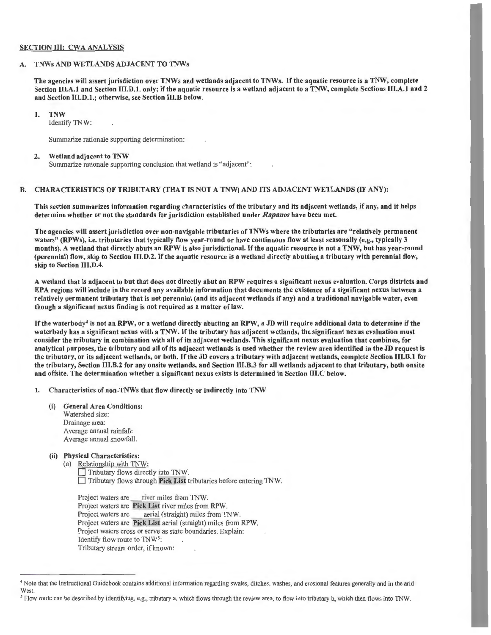#### SECTION III: CWA ANALYSIS

#### A. TNWs AND WETLANDS ADJACENT TO TNWs

The agencies will assert jurisdiction over TNWs and wetlands adjacent to TNWs. If the aquatic resource is a TNW, complete Section III.A.1 and Section III.D.1. only; if the aquatic resource is a wetland adjacent to a TNW, complete Sections III.A.1 and 2 and Section 111.D.1.; otherwise, see Section 111.B below.

#### I. TNW

Identify TNW:

Summarize rationale supporting determination:

#### 2. Wetland adjacent to TNW

Summarize rationale supporting conclusion that wetland is "adjacent":

#### B. CHARACTERISTICS OF TRIBUTARY (THAT IS NOT A TNW) AND ITS ADJACENT WETLANDS (IF ANY):

This section summarizes information regarding characteristics of the tributary and its adjacent wetlands, if any, and it helps determine whether or not the standards for jurisdiction established under *Rapanos* have been met.

The agencies will assert jurisdiction over non-navigable tributaries of TNWs where the tributaries are "relatively permanent waters" (RPWs), i.e. tributaries that typically flow year-round or have continuous flow at least seasonally (e.g., typically 3 months). A wetland that directly abuts an RPW is also jurisdictional. If the aquatic resource is not a TNW, but has year-round (perennial) flow, skip to Section 111.D.2. If the aquatic resource is a wetland directly abutting a tributary with perennial flow, skip to Section III.D.4.

A wetland that is adjacent to but that does not directly abut an RPW requires a significant nexus evaluation. Corps districts and EPA regions will include in the record any available information that documents the existence of a significant nexus between a relatively permanent tributary that is not perennial (and its adjacent wetlands if any) and a traditional navigable water, even though a significant nexus finding is not required as a matter of law.

If the waterbody<sup>4</sup> is not an RPW, or a wetland directly abutting an RPW, a JD will require additional data to determine if the waterbody has a significant nexus with a TNW. If the tributary has adjacent wetlands, the significant nexus evaluation must consider the tributary in combination with all of its adjacent wetlands. This significant nexus evaluation that combines, for analytical purposes, the tributary and all of its adjacent wetlands is used whether the review area identified in the JD request is the tributary, or its adjacent wetlands, or both. If the JD covers a tributary with adjacent wetlands, complete Section 111.B.1 for the tributary, Section 111.B.2 for any onsite wetlands, and Section 111.B.3 for all wetlands adjacent to that tributary, both onsite and offsite. The determination whether a significant nexus exists is determined in Section III.C below.

- l. Characteristics of non-TNWs that flow directly or indirectly into TNW
	- (i) General Area Conditions: Watershed size:

Drainage area: Average annual rainfall: Average annual snowfall:

# (ii) Physical Characteristics:

(a) Relationship with TNW:  $\Box$  Tributary flows directly into TNW.  $\Box$  Tributary flows through Pick List tributaries before entering TNW.

Proj ect waters are \_ river miles from TNW. Project waters are Pick List river miles from RPW. Project waters are \_\_\_ aerial (straight) miles from TNW. Project waters are Pick List aerial (straight) miles from RPW. Project waters cross or serve as state boundaries. Explain: Identify flow route to  $TW^5$ : Tributary stream order, if known:

<sup>&</sup>lt;sup>4</sup> Note that the Instructional Guidebook contains additional information regarding swales, ditches, washes, and erosional features generally and in the arid West.

<sup>&</sup>lt;sup>5</sup> Flow route can be described by identifying, e.g., tributary a, which flows through the review area, to flow into tributary b, which then flows into TNW.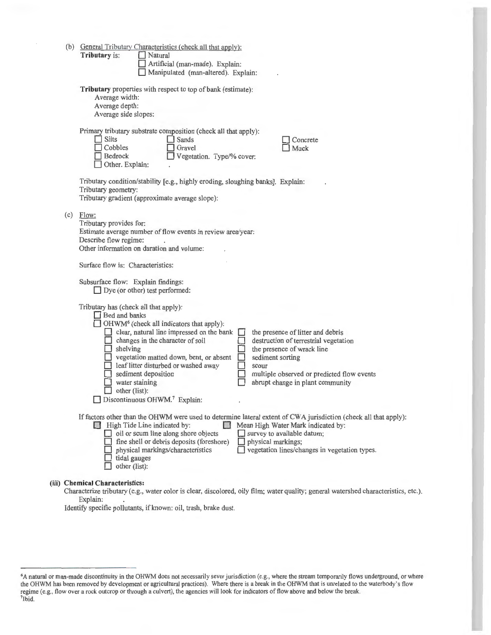|     | (b) General Tributary Characteristics (check all that apply):<br>Tributary is:<br>Natural<br>Artificial (man-made). Explain:<br>Manipulated (man-altered). Explain:                                                                                                                                                                                                                                                                                                                                                                                                                                                                                   |
|-----|-------------------------------------------------------------------------------------------------------------------------------------------------------------------------------------------------------------------------------------------------------------------------------------------------------------------------------------------------------------------------------------------------------------------------------------------------------------------------------------------------------------------------------------------------------------------------------------------------------------------------------------------------------|
|     | Tributary properties with respect to top of bank (estimate):<br>Average width:<br>Average depth:<br>Average side slopes:                                                                                                                                                                                                                                                                                                                                                                                                                                                                                                                              |
|     | Primary tributary substrate composition (check all that apply):<br><b>Silts</b><br>Sands<br>Concrete<br>Cobbles<br>Gravel<br>Muck<br>$\Box$ Bedrock<br>Vegetation. Type/% cover:<br>Other. Explain:                                                                                                                                                                                                                                                                                                                                                                                                                                                   |
|     | Tributary condition/stability [e.g., highly eroding, sloughing banks]. Explain:<br>Tributary geometry:<br>Tributary gradient (approximate average slope):                                                                                                                                                                                                                                                                                                                                                                                                                                                                                             |
| (c) | Flow:<br>Tributary provides for:<br>Estimate average number of flow events in review area/year:<br>Describe flow regime:<br>Other information on duration and volume:                                                                                                                                                                                                                                                                                                                                                                                                                                                                                 |
|     | Surface flow is: Characteristics:                                                                                                                                                                                                                                                                                                                                                                                                                                                                                                                                                                                                                     |
|     | Subsurface flow: Explain findings:<br>$\Box$ Dye (or other) test performed:                                                                                                                                                                                                                                                                                                                                                                                                                                                                                                                                                                           |
|     | Tributary has (check all that apply):<br><b>Bed and banks</b><br>$\Box$ OHWM <sup>6</sup> (check all indicators that apply):<br>clear, natural line impressed on the bank<br>the presence of litter and debris<br>$\Box$ changes in the character of soil<br>destruction of terrestrial vegetation<br>$\Box$ shelving<br>□<br>the presence of wrack line<br>vegetation matted down, bent, or absent<br>sediment sorting<br>leaf litter disturbed or washed away<br>scour<br>sediment deposition<br>multiple observed or predicted flow events<br>water staining<br>abrupt change in plant community<br>other (list):<br>Discontinuous OHWM.7 Explain: |
|     | If factors other than the OHWM were used to determine lateral extent of CWA jurisdiction (check all that apply):<br>High Tide Line indicated by:<br>Mean High Water Mark indicated by:<br>$\Box$ oil or scum line along shore objects<br>survey to available datum;<br>fine shell or debris deposits (foreshore)<br>physical markings;<br>vegetation lines/changes in vegetation types.<br>physical markings/characteristics<br>tidal gauges<br>other (list):                                                                                                                                                                                         |
|     | <b>Chemical Characteristics:</b>                                                                                                                                                                                                                                                                                                                                                                                                                                                                                                                                                                                                                      |

Characterize tributary (e.g., water color is clear, discolored, oily film; water quality; general watershed characteristics, etc.). Explain:

Identify specific pollutants, if known: oil, trash, brake dust.

(iii)

<sup>6</sup>A natural or man-made discontinuity in the OHWM does not necessarily sever jurisdiction (e.g., where the stream temporarily flows underground, or where the OHWM has been removed by development or agricultural practices). Where there is a break in the OHWM that is unrelated to the waterbody's flow regime (e.g. , flow over a rock outcrop or through a culvert), the agencies will look for indicators of flow above and below the break. 7Ibid.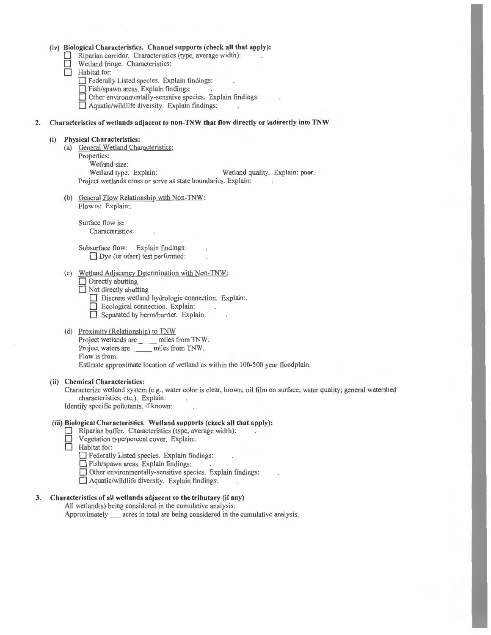#### **(iv) Biological Characteristics. Channel supports (check all that apply):**

- Riparian corridor. Characteristics (type, average width):
- $\Box$  Wetland fringe. Characteristics:<br> $\Box$  Habitat for:
	- **Habitat** for:
		- **D** Federally Listed species. Explain findings:
		- **D** Fish/spawn areas. Explain findings:
		- **D** Other environmentally-sensitive species. Explain findings:

□ Aquatic/wildlife diversity. Explain findings:

# **2. Characteristics of wetlands adjacent to non-TNW that flow directly or indirectly into TNW**

#### **(i) Physical Characteristics:**

- (a) General Wetland Characteristics: Properties: Wetland size:<br>Wetland type. Explain: Wetland quality. Explain: poor. Project wetlands cross or serve as state boundaries. Explain:
- (b) General Flow Relationship with Non-TNW: Flow is: Explain:.

Surface flow is: Characteristics:

Subsurface flow: Explain findings:  $\Box$  Dye (or other) test performed:

- (c) Wetland Adjacency Determination with Non-TNW:
	- **Directly abutting**

**D** Not directly abutting

- $\Box$  Discrete wetland hydrologic connection. Explain:
- **D** Ecological connection. Explain:
- Separated by berm/barrier. Explain:
- (d) Proximity (Relationship) to TNW

Project wetlands are \_\_ miles from TNW. Project waters are \_\_ miles from TNW. Flow is from: Estimate approximate location of wetland as within the 100-500 year floodplain.

## **(ii) Chemical Characteristics:**

Characterize wetland system (e.g., water color is clear, brown, oil film on surface; water quality; general watershed characteristics; etc.). Explain: Identify specific pollutants, if known:

#### **(iii) Biological Characteristics. Wetland supports (check all that apply):**

- Riparian buffer. Characteristics (type, average width):
- □ Vegetation type/percent cover. Explain:.<br>□ Habitat for:
	- **Habitat** for:
		- **D** Federally Listed species. Explain findings:
		- **D** Fish/spawn areas. Explain findings:

**D** Other environmentally-sensitive species. Explain findings:

 $\Box$  Aquatic/wildlife diversity. Explain findings:

# **3. Characteristics of all wetlands adjacent to the tributary (if any)**

All wetland(s) being considered in the cumulative analysis: Approximately acres in total are being considered in the cumulative analysis.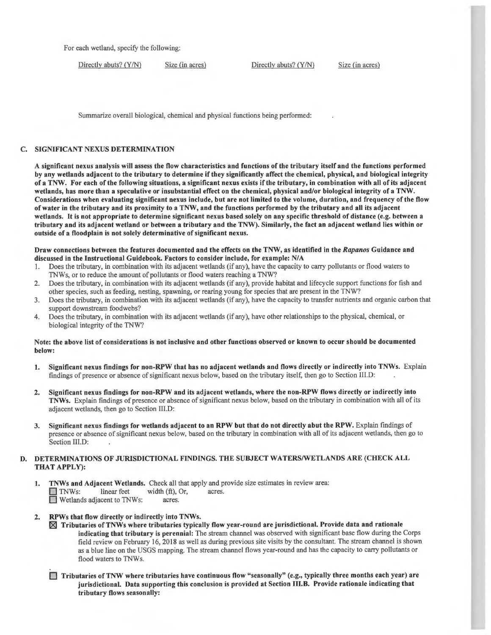For each wetland, specify the following:

Directly abuts? (Y/N) Size (in acres) Directly abuts? (Y/N) Size (in acres)

Summarize overall biological, chemical and physical functions being performed:

# C. SIGNIFICANT NEXUS DETERMINATION

A significant nexus analysis will assess the flow characteristics and functions of the tributary itself and the functions performed by any wetlands adjacent to the tributary to determine if they significantly affect the chemical, physical, and biological integrity of a TNW. For each of the following situations, a significant nexus exists if the tributary, in combination with all of its adjacent wetlands, has more than a speculative or insubstantial effect on the chemical, physical and/or biological integrity of a TNW. Considerations when evaluating significant nexus include, but are not limited to the volume, duration, and frequency of the flow of water in the tributary and its proximity to a TNW, and the functions performed by the tributary and all its adjacent wetlands. It is not appropriate to determine significant nexus based solely on any specific threshold of distance (e.g. between a tributary and its adjacent wetland or between a tributary and the TNW). Similarly, the fact an adjacent wetland lies within or outside of a floodplain is not solely determinative of significant nexus.

## Draw connections between the features documented and the effects on the TNW, as identified in the *Rapanos* Guidance and discussed in the Instructional Guidebook. Factors to consider include, for example: N/A

- I. Does the tributary, in combination with its adjacent wetlands (if any), have the capacity to carry pollutants or flood waters to TNWs, or to reduce the amount of pollutants or flood waters reaching a TNW?
- 2. Does the tributary, in combination with its adjacent wetlands (if any), provide habitat and lifecycle support functions for fish and other species, such as feeding, nesting, spawning, or rearing young for species that are present in the TNW?
- 3. Does the tributary, in combination with its adjacent wetlands (if any), have the capacity to transfer nutrients and organic carbon that support downstream foodwebs?
- 4. Does the tributary, in combination with its adjacent wetlands (if any), have other relationships to the physical, chemical, or biological integrity of the TNW?

# Note: the above list of considerations is not inclusive and other functions observed or known to occur should be documented below:

- 1. Significant nexus findings for non-RPW that has no adjacent wetlands and flows directly or indirectly into TNWs. Explain findings of presence or absence of significant nexus below, based on the tributary itself, then go to Section Ill.D:
- 2. Significant nexus findings for non-RPW and its adjacent wetlands, where the non-RPW flows directly or indirectly into TNWs. Explain findings of presence or absence of significant nexus below, based on the tributary in combination with all of its adjacent wetlands, then go to Section III.D:
- 3. Significant nexus findings for wetlands adjacent to an RPW but that do not directly abut the RPW. Explain findings of presence or absence of significant nexus below, based on the tributary in combination with all of its adjacent wetlands, then go to Section III.D:

# D. DETERMINATIONS OF JURISDICTIONAL FINDINGS. THE SUBJECT WATERS/WETLANDS ARE (CHECK ALL THAT APPLY):

1. TNWs and Adjacent Wetlands. Check all that apply and provide size estimates in review area:  $\Box$  TNWs: linear feet width  $(\text{ft})$ , Or, acres. D Wetlands adjacent to TNWs: acres.

# 2. RPWs that flow directly or indirectly into TNWs.

- $\boxtimes$  Tributaries of TNWs where tributaries typically flow year-round are jurisdictional. Provide data and rationale indicating that tributary is perennial: The stream channel was observed with significant base flow during the Corps field review on February 16, 2018 as well as during previous site visits by the consultant. The stream channel is shown as a blue line on the USGS mapping. The stream channel flows year-round and has the capacity to carry pollutants or flood waters to TNWs.
- $\Box$  Tributaries of TNW where tributaries have continuous flow "seasonally" (e.g., typically three months each year) are jurisdictional. Data supporting this conclusion is provided at Section 111.B. Provide rationale indicating that tributary flows seasonally: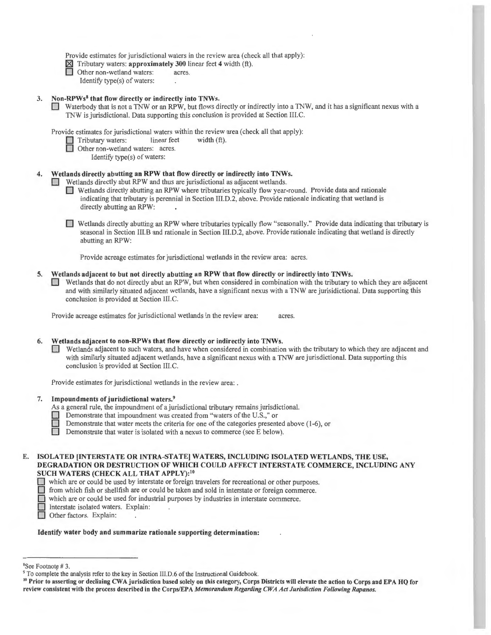Provide estimates for jurisdictional waters in the review area (check all that apply):

- $\boxtimes$  Tributary waters: **approximately 300** linear feet 4 width (ft).<br> **Other non-wetland waters:** acres.
	-
	- Identify type(s) of waters:

## 3. Non-RPWs<sup>8</sup> that flow directly or indirectly into TNWs.

D Waterbody that is not a TNW or an RPW, but flows directly or indirectly into a TNW, and it has a significant nexus with a TNW is jurisdictional. Data supporting this conclusion is provided at Section Ill.C.

Provide estimates for jurisdictional waters within the review area (check all that apply):

- $\Box$  Tributary waters: linear feet width (ft).
- Other non-wetland waters: acres.
	- Identify type(s) of waters:

### Wetlands directly abutting an RPW that flow directly or indirectly into TNWs.

- D Wetlands directly abut RPW and thus are jurisdictional as adjacent wetlands.
	- D Wetlands directly abutting an RPW where tributaries typically flow year-round. Provide data and rationale indicating that tributary is perennial in Section III.D.2, above. Provide rationale indicating that wetland is directly abutting an RPW:
	- D Wetlands directly abutting an RPW where tributaries typically flow "seasonally." Provide data indicating that tributary is seasonal in Section 111.B and rationale in Section III.D.2, above. Provide rationale indicating that wetland is directly abutting an RPW:

Provide acreage estimates for jurisdictional wetlands in the review area: acres.

#### 5. Wetlands adjacent to but not directly abutting an RPW that flow directly or indirectly into TNWs.

D Wetlands that do not directly abut an RPW, but when considered in combination with the tributary to which they are adjacent and with similarly situated adjacent wetlands, have a significant nexus with a TNW are jurisidictional. Data supporting this conclusion is provided at Section 111.C.

Provide acreage estimates for jurisdictional wetlands in the review area: acres.

#### 6. Wetlands adjacent to non-RPWs that flow directly or indirectly into TNWs.

D Wetlands adjacent to such waters, and have when considered in combination with the tributary to which they are adjacent and with similarly situated adjacent wetlands, have a significant nexus with a TNW are jurisdictional. Data supporting this conclusion is provided at Section III.C.

Provide estimates for jurisdictional wetlands in the review area: .

#### 7. Impoundments of jurisdictional waters. <sup>9</sup>

- As a general rule, the impoundment of a jurisdictional tributary remains jurisdictional.
- Demonstrate that impoundment was created from "waters of the U.S.," or
- Demonstrate that water meets the criteria for one of the categories presented above (1-6), or Demonstrate that water is isolated with a nexus to commerce (see E below).
	- Demonstrate that water is isolated with a nexus to commerce (see E below).

# E. ISOLATED [INTERSTATE OR INTRA-STATE] WATERS, INCLUDING ISOLATED WETLANDS, THE USE, DEGRADATION OR DESTRUCTION OF WHICH COULD AFFECT INTERSTATE COMMERCE, INCLUDING ANY SUCH WATERS (CHECK ALL THAT APPLY):<sup>10</sup><br> $\Box$  which are or could be used by interstate or foreign travelers for recreational or other purposes.

D which are or could be used by interstate or foreign travelers for recreational or other purposes.

 $\Box$  from which fish or shellfish are or could be taken and sold in interstate or foreign commerce.

 $\Box$  which are or could be used for industrial purposes by industries in interstate commerce. The which are or could be used for industrial purposes by industries in interstate commerce.<br>Interstate isolated waters. Explain:

Other factors. Explain:

#### Identify water body and summarize rationale supporting determination:

<sup>&</sup>lt;sup>8</sup>See Footnote #3.

<sup>&</sup>lt;sup>9</sup> To complete the analysis refer to the key in Section III.D.6 of the Instructional Guidebook.<br><sup>10</sup> Prior to asserting or declining CWA jurisdiction based solely on this category, Corps Districts will elevate the action review consistent with the process described in the Corps/EPA Memorandum Regarding CWA Act Jurisdiction Following Rapanos.